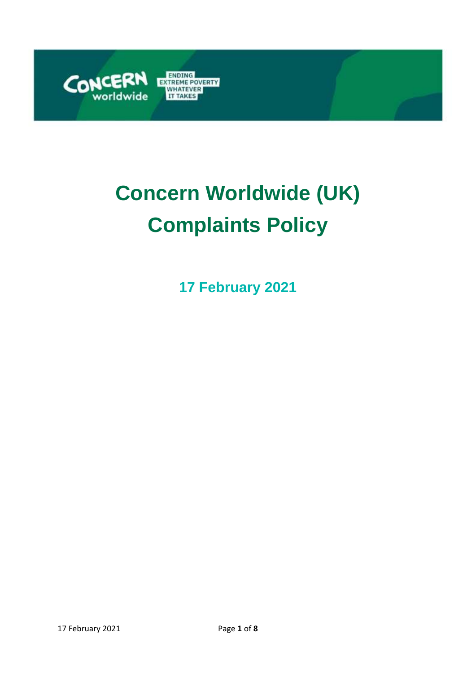

# **Concern Worldwide (UK) Complaints Policy**

**17 February 2021**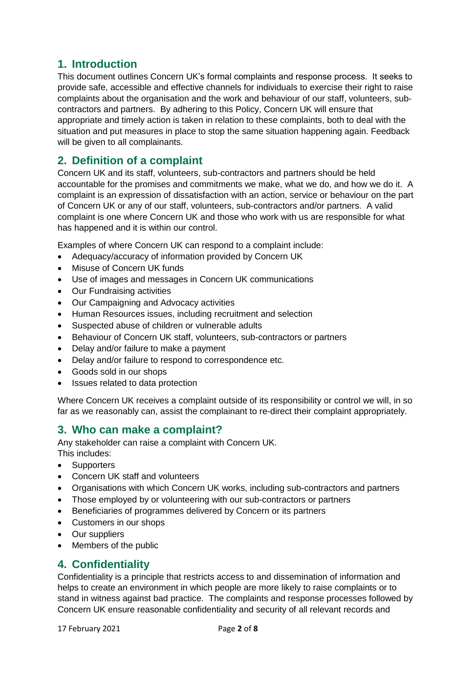# **1. Introduction**

This document outlines Concern UK's formal complaints and response process. It seeks to provide safe, accessible and effective channels for individuals to exercise their right to raise complaints about the organisation and the work and behaviour of our staff, volunteers, subcontractors and partners. By adhering to this Policy, Concern UK will ensure that appropriate and timely action is taken in relation to these complaints, both to deal with the situation and put measures in place to stop the same situation happening again. Feedback will be given to all complainants.

## **2. Definition of a complaint**

Concern UK and its staff, volunteers, sub-contractors and partners should be held accountable for the promises and commitments we make, what we do, and how we do it. A complaint is an expression of dissatisfaction with an action, service or behaviour on the part of Concern UK or any of our staff, volunteers, sub-contractors and/or partners. A valid complaint is one where Concern UK and those who work with us are responsible for what has happened and it is within our control.

Examples of where Concern UK can respond to a complaint include:

- Adequacy/accuracy of information provided by Concern UK
- Misuse of Concern UK funds
- Use of images and messages in Concern UK communications
- Our Fundraising activities
- Our Campaigning and Advocacy activities
- Human Resources issues, including recruitment and selection
- Suspected abuse of children or vulnerable adults
- Behaviour of Concern UK staff, volunteers, sub-contractors or partners
- Delay and/or failure to make a payment
- Delay and/or failure to respond to correspondence etc.
- Goods sold in our shops
- Issues related to data protection

Where Concern UK receives a complaint outside of its responsibility or control we will, in so far as we reasonably can, assist the complainant to re-direct their complaint appropriately.

## **3. Who can make a complaint?**

Any stakeholder can raise a complaint with Concern UK. This includes:

- Supporters
- Concern UK staff and volunteers
- Organisations with which Concern UK works, including sub-contractors and partners
- Those employed by or volunteering with our sub-contractors or partners
- Beneficiaries of programmes delivered by Concern or its partners
- Customers in our shops
- Our suppliers
- Members of the public

## **4. Confidentiality**

Confidentiality is a principle that restricts access to and dissemination of information and helps to create an environment in which people are more likely to raise complaints or to stand in witness against bad practice. The complaints and response processes followed by Concern UK ensure reasonable confidentiality and security of all relevant records and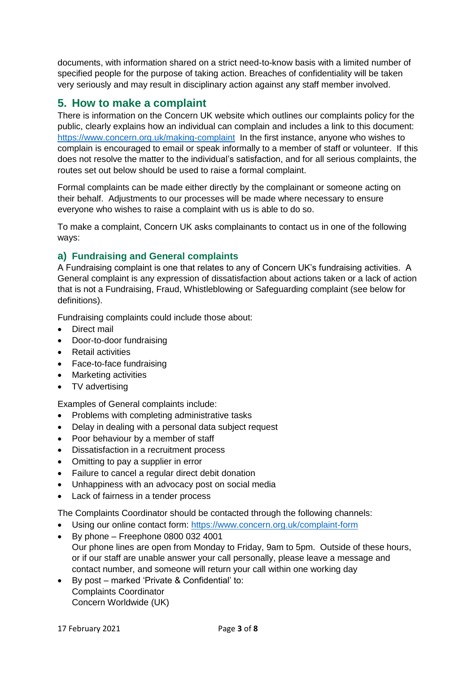documents, with information shared on a strict need-to-know basis with a limited number of specified people for the purpose of taking action. Breaches of confidentiality will be taken very seriously and may result in disciplinary action against any staff member involved.

# **5. How to make a complaint**

There is information on the Concern UK website which outlines our complaints policy for the public, clearly explains how an individual can complain and includes a link to this document: <https://www.concern.org.uk/making-complaint> In the first instance, anyone who wishes to complain is encouraged to email or speak informally to a member of staff or volunteer. If this does not resolve the matter to the individual's satisfaction, and for all serious complaints, the routes set out below should be used to raise a formal complaint.

Formal complaints can be made either directly by the complainant or someone acting on their behalf. Adjustments to our processes will be made where necessary to ensure everyone who wishes to raise a complaint with us is able to do so.

To make a complaint, Concern UK asks complainants to contact us in one of the following ways:

## **a) Fundraising and General complaints**

A Fundraising complaint is one that relates to any of Concern UK's fundraising activities. A General complaint is any expression of dissatisfaction about actions taken or a lack of action that is not a Fundraising, Fraud, Whistleblowing or Safeguarding complaint (see below for definitions).

Fundraising complaints could include those about:

- Direct mail
- Door-to-door fundraising
- Retail activities
- Face-to-face fundraising
- Marketing activities
- TV advertising

Examples of General complaints include:

- Problems with completing administrative tasks
- Delay in dealing with a personal data subject request
- Poor behaviour by a member of staff
- Dissatisfaction in a recruitment process
- Omitting to pay a supplier in error
- Failure to cancel a regular direct debit donation
- Unhappiness with an advocacy post on social media
- Lack of fairness in a tender process

The Complaints Coordinator should be contacted through the following channels:

- Using our online contact form:<https://www.concern.org.uk/complaint-form>
- $\bullet$  By phone Freephone 0800 032 4001 Our phone lines are open from Monday to Friday, 9am to 5pm. Outside of these hours, or if our staff are unable answer your call personally, please leave a message and contact number, and someone will return your call within one working day
- By post marked 'Private & Confidential' to: Complaints Coordinator Concern Worldwide (UK)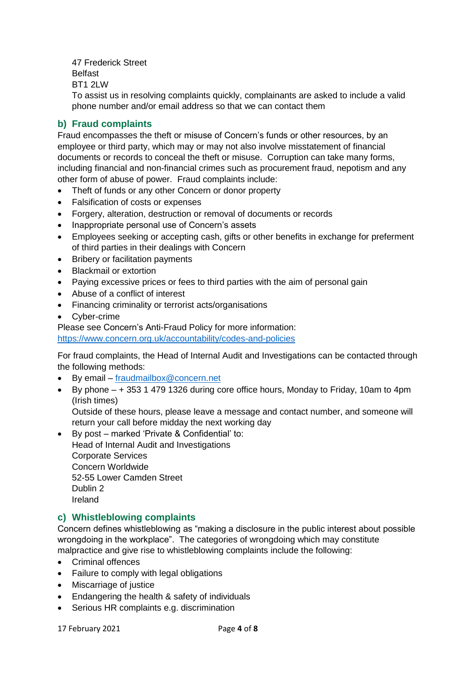47 Frederick Street Belfast BT1 2LW

To assist us in resolving complaints quickly, complainants are asked to include a valid phone number and/or email address so that we can contact them

## **b) Fraud complaints**

Fraud encompasses the theft or misuse of Concern's funds or other resources, by an employee or third party, which may or may not also involve misstatement of financial documents or records to conceal the theft or misuse. Corruption can take many forms, including financial and non-financial crimes such as procurement fraud, nepotism and any other form of abuse of power. Fraud complaints include:

- Theft of funds or any other Concern or donor property
- Falsification of costs or expenses
- Forgery, alteration, destruction or removal of documents or records
- Inappropriate personal use of Concern's assets
- Employees seeking or accepting cash, gifts or other benefits in exchange for preferment of third parties in their dealings with Concern
- Bribery or facilitation payments
- Blackmail or extortion
- Paying excessive prices or fees to third parties with the aim of personal gain
- Abuse of a conflict of interest
- Financing criminality or terrorist acts/organisations
- Cyber-crime

Please see Concern's Anti-Fraud Policy for more information:

<https://www.concern.org.uk/accountability/codes-and-policies>

For fraud complaints, the Head of Internal Audit and Investigations can be contacted through the following methods:

- By email [fraudmailbox@concern.net](mailto:fraudmailbox@concern.net)
- By phone + 353 1 479 1326 during core office hours, Monday to Friday, 10am to 4pm (Irish times)

Outside of these hours, please leave a message and contact number, and someone will return your call before midday the next working day

 By post – marked 'Private & Confidential' to: Head of Internal Audit and Investigations Corporate Services Concern Worldwide 52-55 Lower Camden Street Dublin 2 Ireland

#### **c) Whistleblowing complaints**

Concern defines whistleblowing as "making a disclosure in the public interest about possible wrongdoing in the workplace". The categories of wrongdoing which may constitute malpractice and give rise to whistleblowing complaints include the following:

- Criminal offences
- Failure to comply with legal obligations
- Miscarriage of justice
- Endangering the health & safety of individuals
- Serious HR complaints e.g. discrimination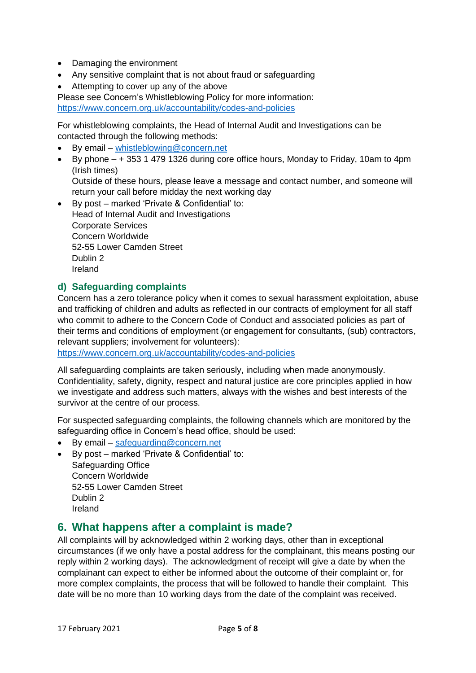- Damaging the environment
- Any sensitive complaint that is not about fraud or safeguarding
- Attempting to cover up any of the above

Please see Concern's Whistleblowing Policy for more information:

<https://www.concern.org.uk/accountability/codes-and-policies>

For whistleblowing complaints, the Head of Internal Audit and Investigations can be contacted through the following methods:

- By email [whistleblowing@concern.net](mailto:whistleblowing@concern.net)
- By phone  $-$  + 353 1 479 1326 during core office hours, Monday to Friday, 10am to 4pm (Irish times)

Outside of these hours, please leave a message and contact number, and someone will return your call before midday the next working day

 By post – marked 'Private & Confidential' to: Head of Internal Audit and Investigations Corporate Services Concern Worldwide 52-55 Lower Camden Street Dublin 2 Ireland

## **d) Safeguarding complaints**

Concern has a zero tolerance policy when it comes to sexual harassment exploitation, abuse and trafficking of children and adults as reflected in our contracts of employment for all staff who commit to adhere to the Concern Code of Conduct and associated policies as part of their terms and conditions of employment (or engagement for consultants, (sub) contractors, relevant suppliers; involvement for volunteers):

<https://www.concern.org.uk/accountability/codes-and-policies>

All safeguarding complaints are taken seriously, including when made anonymously. Confidentiality, safety, dignity, respect and natural justice are core principles applied in how we investigate and address such matters, always with the wishes and best interests of the survivor at the centre of our process.

For suspected safeguarding complaints, the following channels which are monitored by the safeguarding office in Concern's head office, should be used:

- By email [safeguarding@concern.net](mailto:safeguarding@concern.net)
- By post marked 'Private & Confidential' to: Safeguarding Office Concern Worldwide 52-55 Lower Camden Street Dublin 2 Ireland

## **6. What happens after a complaint is made?**

All complaints will by acknowledged within 2 working days, other than in exceptional circumstances (if we only have a postal address for the complainant, this means posting our reply within 2 working days). The acknowledgment of receipt will give a date by when the complainant can expect to either be informed about the outcome of their complaint or, for more complex complaints, the process that will be followed to handle their complaint. This date will be no more than 10 working days from the date of the complaint was received.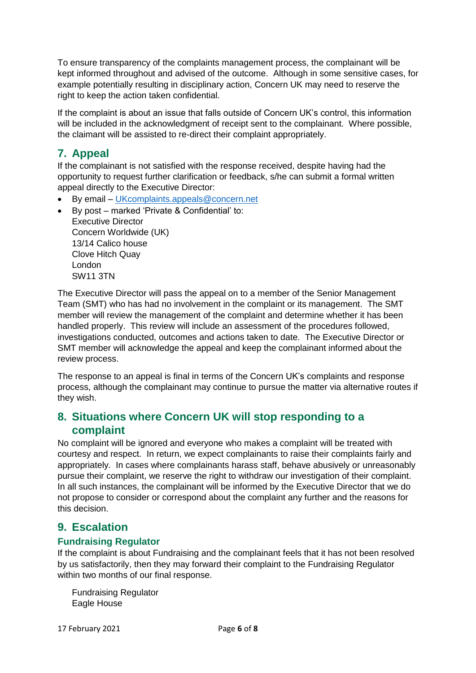To ensure transparency of the complaints management process, the complainant will be kept informed throughout and advised of the outcome. Although in some sensitive cases, for example potentially resulting in disciplinary action, Concern UK may need to reserve the right to keep the action taken confidential.

If the complaint is about an issue that falls outside of Concern UK's control, this information will be included in the acknowledgment of receipt sent to the complainant. Where possible, the claimant will be assisted to re-direct their complaint appropriately.

# **7. Appeal**

If the complainant is not satisfied with the response received, despite having had the opportunity to request further clarification or feedback, s/he can submit a formal written appeal directly to the Executive Director:

- By email [UKcomplaints.appeals@concern.net](mailto:UKcomplaints.appeals@concern.net)
- By post marked 'Private & Confidential' to: Executive Director Concern Worldwide (UK) 13/14 Calico house Clove Hitch Quay London SW11 3TN

The Executive Director will pass the appeal on to a member of the Senior Management Team (SMT) who has had no involvement in the complaint or its management. The SMT member will review the management of the complaint and determine whether it has been handled properly. This review will include an assessment of the procedures followed, investigations conducted, outcomes and actions taken to date. The Executive Director or SMT member will acknowledge the appeal and keep the complainant informed about the review process.

The response to an appeal is final in terms of the Concern UK's complaints and response process, although the complainant may continue to pursue the matter via alternative routes if they wish.

# **8. Situations where Concern UK will stop responding to a complaint**

No complaint will be ignored and everyone who makes a complaint will be treated with courtesy and respect. In return, we expect complainants to raise their complaints fairly and appropriately. In cases where complainants harass staff, behave abusively or unreasonably pursue their complaint, we reserve the right to withdraw our investigation of their complaint. In all such instances, the complainant will be informed by the Executive Director that we do not propose to consider or correspond about the complaint any further and the reasons for this decision.

# **9. Escalation**

## **Fundraising Regulator**

If the complaint is about Fundraising and the complainant feels that it has not been resolved by us satisfactorily, then they may forward their complaint to the Fundraising Regulator within two months of our final response.

Fundraising Regulator Eagle House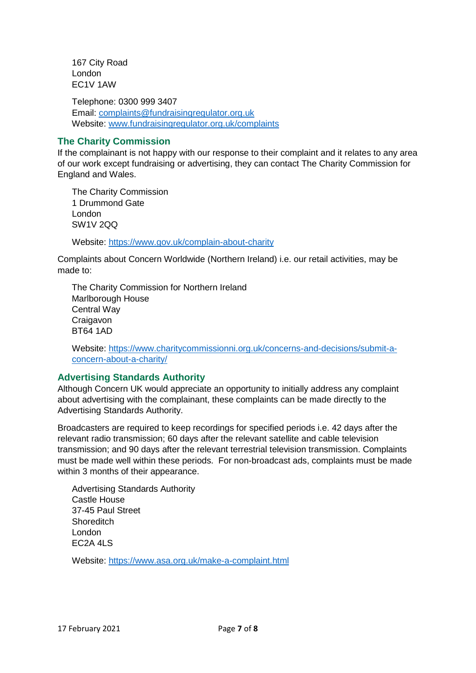167 City Road London EC1V 1AW

Telephone: 0300 999 3407 Email: [complaints@fundraisingregulator.org.uk](mailto:complaints@fundraisingregulator.org.uk) Website: [www.fundraisingregulator.org.uk/](http://www.fundraisingregulator.org.uk/)complaints

## **The Charity Commission**

If the complainant is not happy with our response to their complaint and it relates to any area of our work except fundraising or advertising, they can contact The Charity Commission for England and Wales.

The Charity Commission 1 Drummond Gate London SW1V 2QQ

Website:<https://www.gov.uk/complain-about-charity>

Complaints about Concern Worldwide (Northern Ireland) i.e. our retail activities, may be made to:

The Charity Commission for Northern Ireland Marlborough House Central Way **Craigavon** BT64 1AD

Website: [https://www.charitycommissionni.org.uk/concerns-and-decisions/submit-a](https://www.charitycommissionni.org.uk/concerns-and-decisions/submit-a-concern-about-a-charity/)[concern-about-a-charity/](https://www.charitycommissionni.org.uk/concerns-and-decisions/submit-a-concern-about-a-charity/)

#### **Advertising Standards Authority**

Although Concern UK would appreciate an opportunity to initially address any complaint about advertising with the complainant, these complaints can be made directly to the Advertising Standards Authority.

Broadcasters are required to keep recordings for specified periods i.e. 42 days after the relevant radio transmission; 60 days after the relevant satellite and cable television transmission; and 90 days after the relevant terrestrial television transmission. Complaints must be made well within these periods. For non-broadcast ads, complaints must be made within 3 months of their appearance.

Advertising Standards Authority Castle House 37-45 Paul Street **Shoreditch** London EC2A 4LS

Website:<https://www.asa.org.uk/make-a-complaint.html>